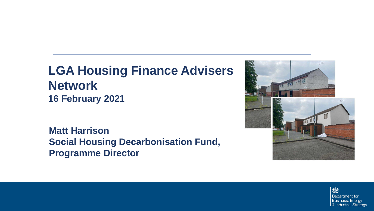### **LGA Housing Finance Advisers Network 16 February 2021**

**Matt Harrison Social Housing Decarbonisation Fund, Programme Director** 

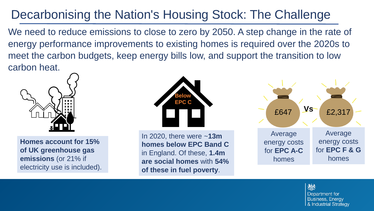### Decarbonising the Nation's Housing Stock: The Challenge

We need to reduce emissions to close to zero by 2050. A step change in the rate of energy performance improvements to existing homes is required over the 2020s to meet the carbon budgets, keep energy bills low, and support the transition to low carbon heat.



**Homes account for 15% of UK greenhouse gas emissions** (or 21% if electricity use is included).



In 2020, there were ~**13m homes below EPC Band C**  in England. Of these, **1.4m are social homes** with **54% of these in fuel poverty**.

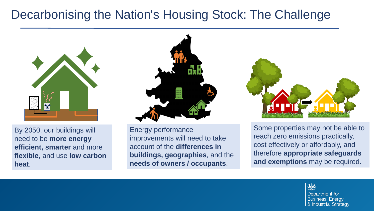### Decarbonising the Nation's Housing Stock: The Challenge



By 2050, our buildings will need to be **more energy efficient, smarter** and more **flexible**, and use **low carbon heat**.



Energy performance improvements will need to take account of the **differences in buildings, geographies**, and the **needs of owners / occupants**.



Some properties may not be able to reach zero emissions practically, cost effectively or affordably, and therefore **appropriate safeguards and exemptions** may be required.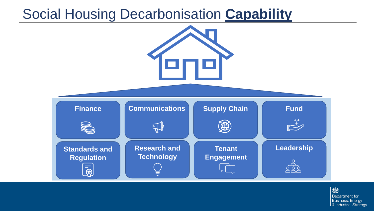### Social Housing Decarbonisation **Capability**

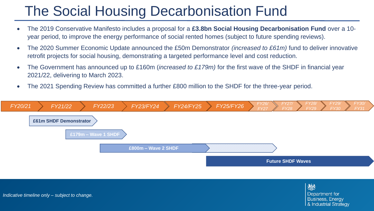## The Social Housing Decarbonisation Fund

- The 2019 Conservative Manifesto includes a proposal for a **£3.8bn Social Housing Decarbonisation Fund** over a 10 year period, to improve the energy performance of social rented homes (subject to future spending reviews).
- The 2020 Summer Economic Update announced the £50m Demonstrator *(increased to £61m)* fund to deliver innovative retrofit projects for social housing, demonstrating a targeted performance level and cost reduction.
- The Government has announced up to £160m (*increased to £179m)* for the first wave of the SHDF in financial year 2021/22, delivering to March 2023.
- The 2021 Spending Review has committed a further £800 million to the SHDF for the three-year period.

| FY20/21                |                     | FY21/22                  | FY22/23             | <b>FY23/FY24</b> | <b>FY24/FY25</b> | <b>FY25/FY26</b> | <b>FY26/</b><br><b>FY27</b> | <b>FY27/</b><br><b>FY28</b> | <b>FY28/</b><br><b>FY29</b> | FY29/<br>$\mathbb{Z}$ FY30 | <b>FY30/</b><br>FY31 / |
|------------------------|---------------------|--------------------------|---------------------|------------------|------------------|------------------|-----------------------------|-----------------------------|-----------------------------|----------------------------|------------------------|
| £61m SHDF Demonstrator |                     |                          |                     |                  |                  |                  |                             |                             |                             |                            |                        |
|                        |                     |                          | £179m - Wave 1 SHDF |                  |                  |                  |                             |                             |                             |                            |                        |
|                        | £800m - Wave 2 SHDF |                          |                     |                  |                  |                  |                             |                             |                             |                            |                        |
|                        |                     | <b>Future SHDF Waves</b> |                     |                  |                  |                  |                             |                             |                             |                            |                        |

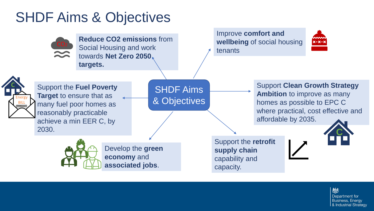## SHDF Aims & Objectives



**Reduce CO2 emissions** from Social Housing and work towards **Net Zero 2050 targets.**

Improve **comfort and wellbeing** of social housing tenants





Support the **Fuel Poverty Target** to ensure that as many fuel poor homes as reasonably practicable achieve a min EER C, by 2030.

SHDF Aims & Objectives Support **Clean Growth Strategy Ambition** to improve as many homes as possible to EPC C where practical, cost effective and affordable by 2035.



Develop the **green economy** and **associated jobs**.

Support the **retrofit supply chain**  capability and capacity.

> 嫁 Department for **Business, Energy** & Industrial Strategy

**C**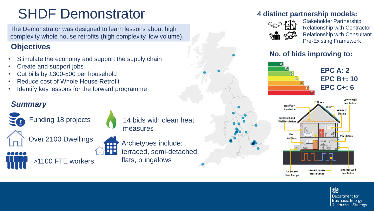## SHDF Demonstrator

The Demonstrator was designed to learn lessons about high complexity whole house retrofits (high complexity, low volume).

#### **Objectives**

- Stimulate the economy and support the supply chain
- Create and support jobs
- Cut bills by £300-500 per household
- Reduce cost of Whole House Retrofit
- Identify key lessons for the forward programme

#### *Summary*

Funding 18 projects

Over 2100 Dwellings

>1100 FTE workers



Archetypes include: æ terraced, semi-detached, **FIF** flats, bungalows

#### **4 distinct partnership models:**



Stakeholder Partnership Relationship with Contractor Relationship with Consultant Pre-Existing Framework

#### **No. of bids improving to:**

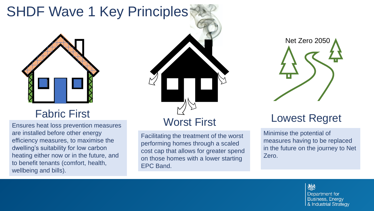## SHDF Wave 1 Key Principles



### Fabric First

Ensures heat loss prevention measures are installed before other energy efficiency measures, to maximise the dwelling's suitability for low carbon heating either now or in the future, and to benefit tenants (comfort, health, wellbeing and bills).



Facilitating the treatment of the worst performing homes through a scaled cost cap that allows for greater spend on those homes with a lower starting EPC Band.



### Lowest Regret

Minimise the potential of measures having to be replaced in the future on the journey to Net Zero.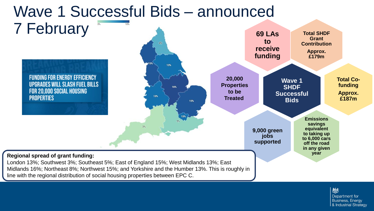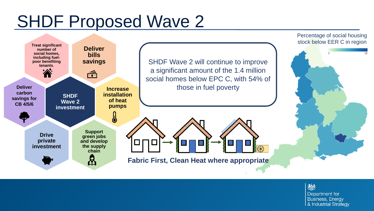# SHDF Proposed Wave 2

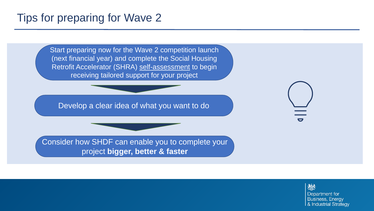Start preparing now for the Wave 2 competition launch (next financial year) and complete the Social Housing Retrofit Accelerator (SHRA) [self-assessment](https://www.socialhousingretrofit.org.uk/self-assessment) to begin receiving tailored support for your project

Develop a clear idea of what you want to do

Consider how SHDF can enable you to complete your project **bigger, better & faster**